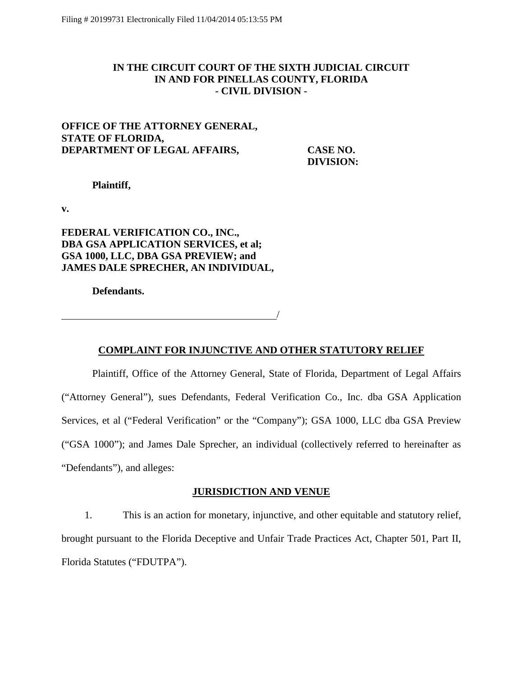# **IN THE CIRCUIT COURT OF THE SIXTH JUDICIAL CIRCUIT IN AND FOR PINELLAS COUNTY, FLORIDA - CIVIL DIVISION -**

# **OFFICE OF THE ATTORNEY GENERAL, STATE OF FLORIDA, DEPARTMENT OF LEGAL AFFAIRS, CASE NO.**

**DIVISION:** 

### **Plaintiff,**

**v.**

# **FEDERAL VERIFICATION CO., INC., DBA GSA APPLICATION SERVICES, et al; GSA 1000, LLC, DBA GSA PREVIEW; and JAMES DALE SPRECHER, AN INDIVIDUAL,**

**Defendants.**

**COMPLAINT FOR INJUNCTIVE AND OTHER STATUTORY RELIEF**

/

Plaintiff, Office of the Attorney General, State of Florida, Department of Legal Affairs ("Attorney General"), sues Defendants, Federal Verification Co., Inc. dba GSA Application Services, et al ("Federal Verification" or the "Company"); GSA 1000, LLC dba GSA Preview ("GSA 1000"); and James Dale Sprecher, an individual (collectively referred to hereinafter as "Defendants"), and alleges:

### **JURISDICTION AND VENUE**

1. This is an action for monetary, injunctive, and other equitable and statutory relief, brought pursuant to the Florida Deceptive and Unfair Trade Practices Act, Chapter 501, Part II, Florida Statutes ("FDUTPA").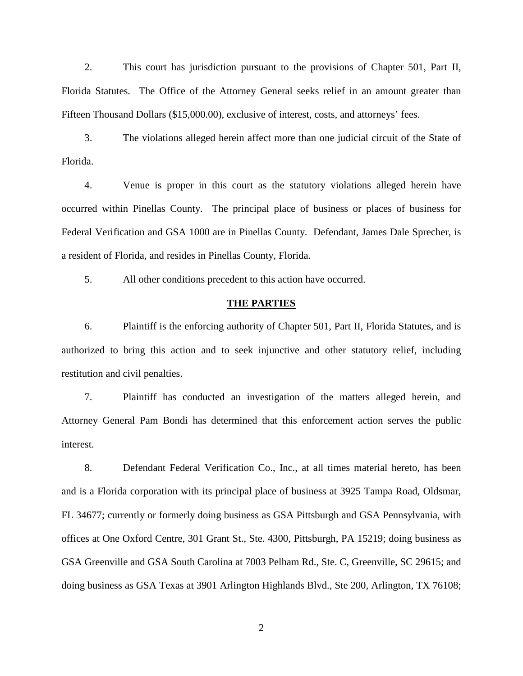2. This court has jurisdiction pursuant to the provisions of Chapter 501, Part II, Florida Statutes. The Office of the Attorney General seeks relief in an amount greater than Fifteen Thousand Dollars (\$15,000.00), exclusive of interest, costs, and attorneys' fees.

3. The violations alleged herein affect more than one judicial circuit of the State of Florida.

4. Venue is proper in this court as the statutory violations alleged herein have occurred within Pinellas County. The principal place of business or places of business for Federal Verification and GSA 1000 are in Pinellas County. Defendant, James Dale Sprecher, is a resident of Florida, and resides in Pinellas County, Florida.

5. All other conditions precedent to this action have occurred.

### **THE PARTIES**

6. Plaintiff is the enforcing authority of Chapter 501, Part II, Florida Statutes, and is authorized to bring this action and to seek injunctive and other statutory relief, including restitution and civil penalties.

7. Plaintiff has conducted an investigation of the matters alleged herein, and Attorney General Pam Bondi has determined that this enforcement action serves the public interest.

8. Defendant Federal Verification Co., Inc., at all times material hereto, has been and is a Florida corporation with its principal place of business at 3925 Tampa Road, Oldsmar, FL 34677; currently or formerly doing business as GSA Pittsburgh and GSA Pennsylvania, with offices at One Oxford Centre, 301 Grant St., Ste. 4300, Pittsburgh, PA 15219; doing business as GSA Greenville and GSA South Carolina at 7003 Pelham Rd., Ste. C, Greenville, SC 29615; and doing business as GSA Texas at 3901 Arlington Highlands Blvd., Ste 200, Arlington, TX 76108;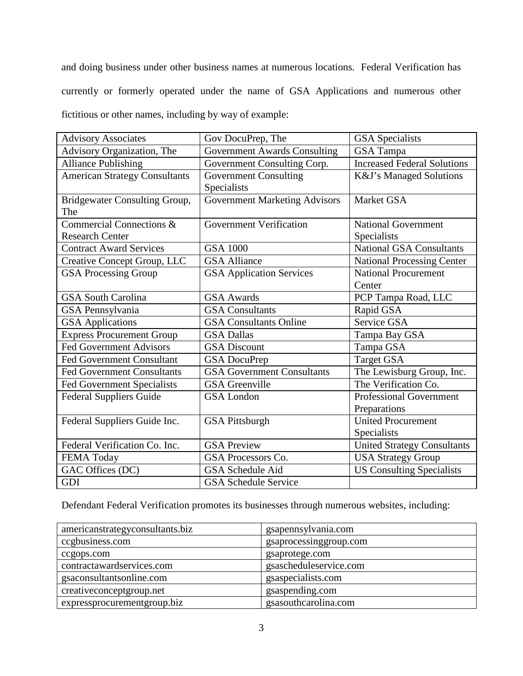and doing business under other business names at numerous locations. Federal Verification has currently or formerly operated under the name of GSA Applications and numerous other fictitious or other names, including by way of example:

| <b>Advisory Associates</b>                  | Gov DocuPrep, The                           | <b>GSA</b> Specialists                |
|---------------------------------------------|---------------------------------------------|---------------------------------------|
| Advisory Organization, The                  | <b>Government Awards Consulting</b>         | <b>GSA</b> Tampa                      |
| <b>Alliance Publishing</b>                  | Government Consulting Corp.                 | <b>Increased Federal Solutions</b>    |
| <b>American Strategy Consultants</b>        | <b>Government Consulting</b><br>Specialists | K&J's Managed Solutions               |
| <b>Bridgewater Consulting Group,</b><br>The | <b>Government Marketing Advisors</b>        | Market GSA                            |
| Commercial Connections &                    | <b>Government Verification</b>              | <b>National Government</b>            |
| <b>Research Center</b>                      |                                             | Specialists                           |
| <b>Contract Award Services</b>              | <b>GSA 1000</b>                             | <b>National GSA Consultants</b>       |
| Creative Concept Group, LLC                 | <b>GSA Alliance</b>                         | <b>National Processing Center</b>     |
| <b>GSA Processing Group</b>                 | <b>GSA Application Services</b>             | <b>National Procurement</b><br>Center |
| <b>GSA South Carolina</b>                   | <b>GSA Awards</b>                           | PCP Tampa Road, LLC                   |
| GSA Pennsylvania                            | <b>GSA</b> Consultants                      | Rapid GSA                             |
| <b>GSA</b> Applications                     | <b>GSA Consultants Online</b>               | Service GSA                           |
| <b>Express Procurement Group</b>            | <b>GSA Dallas</b>                           | Tampa Bay GSA                         |
| <b>Fed Government Advisors</b>              | <b>GSA</b> Discount                         | Tampa GSA                             |
| <b>Fed Government Consultant</b>            | <b>GSA</b> DocuPrep                         | <b>Target GSA</b>                     |
| <b>Fed Government Consultants</b>           | <b>GSA Government Consultants</b>           | The Lewisburg Group, Inc.             |
| <b>Fed Government Specialists</b>           | <b>GSA</b> Greenville                       | The Verification Co.                  |
| <b>Federal Suppliers Guide</b>              | <b>GSA</b> London                           | <b>Professional Government</b>        |
|                                             |                                             | Preparations                          |
| Federal Suppliers Guide Inc.                | <b>GSA Pittsburgh</b>                       | <b>United Procurement</b>             |
|                                             |                                             | Specialists                           |
| Federal Verification Co. Inc.               | <b>GSA Preview</b>                          | <b>United Strategy Consultants</b>    |
| FEMA Today                                  | GSA Processors Co.                          | <b>USA Strategy Group</b>             |
| GAC Offices (DC)                            | <b>GSA Schedule Aid</b>                     | <b>US Consulting Specialists</b>      |
| GDI                                         | <b>GSA Schedule Service</b>                 |                                       |

Defendant Federal Verification promotes its businesses through numerous websites, including:

| americanstrategyconsultants.biz | gsapennsylvania.com    |
|---------------------------------|------------------------|
| ccgbusiness.com                 | gsaprocessinggroup.com |
| ccgops.com                      | gsaprotege.com         |
| contractawardservices.com       | gsascheduleservice.com |
| gsaconsultantsonline.com        | gsaspecialists.com     |
| creativeconceptgroup.net        | gsaspending.com        |
| expressprocurementgroup.biz     | gsasouthcarolina.com   |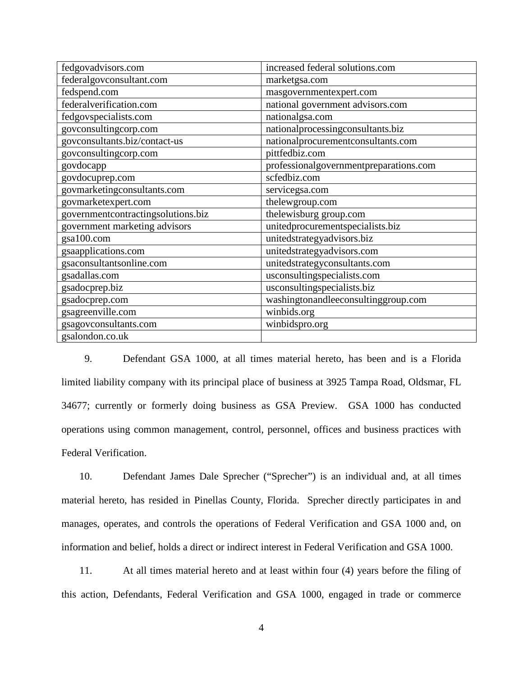| fedgovadvisors.com                 | increased federal solutions.com        |
|------------------------------------|----------------------------------------|
| federalgovconsultant.com           | marketgsa.com                          |
| fedspend.com                       | masgovernmentexpert.com                |
| federalverification.com            | national government advisors.com       |
| fedgovspecialists.com              | nationalgsa.com                        |
| govconsultingcorp.com              | nationalprocessingconsultants.biz      |
| govconsultants.biz/contact-us      | nationalprocurementconsultants.com     |
| govconsultingcorp.com              | pittfedbiz.com                         |
| govdocapp                          | professionalgovernmentpreparations.com |
| govdocuprep.com                    | scfedbiz.com                           |
| govmarketingconsultants.com        | servicegsa.com                         |
| govmarketexpert.com                | thelewgroup.com                        |
| governmentcontractingsolutions.biz | thelewisburg group.com                 |
| government marketing advisors      | unitedprocurementspecialists.biz       |
| gsa100.com                         | unitedstrategyadvisors.biz             |
| gsaapplications.com                | unitedstrategyadvisors.com             |
| gsaconsultantsonline.com           | unitedstrategyconsultants.com          |
| gsadallas.com                      | usconsultingspecialists.com            |
| gsadocprep.biz                     | usconsultingspecialists.biz            |
| gsadocprep.com                     | washingtonandleeconsultinggroup.com    |
| gsagreenville.com                  | winbids.org                            |
| gsagovconsultants.com              | winbidspro.org                         |
| gsalondon.co.uk                    |                                        |

9. Defendant GSA 1000, at all times material hereto, has been and is a Florida limited liability company with its principal place of business at 3925 Tampa Road, Oldsmar, FL 34677; currently or formerly doing business as GSA Preview. GSA 1000 has conducted operations using common management, control, personnel, offices and business practices with Federal Verification.

10. Defendant James Dale Sprecher ("Sprecher") is an individual and, at all times material hereto, has resided in Pinellas County, Florida. Sprecher directly participates in and manages, operates, and controls the operations of Federal Verification and GSA 1000 and, on information and belief, holds a direct or indirect interest in Federal Verification and GSA 1000.

11. At all times material hereto and at least within four (4) years before the filing of this action, Defendants, Federal Verification and GSA 1000, engaged in trade or commerce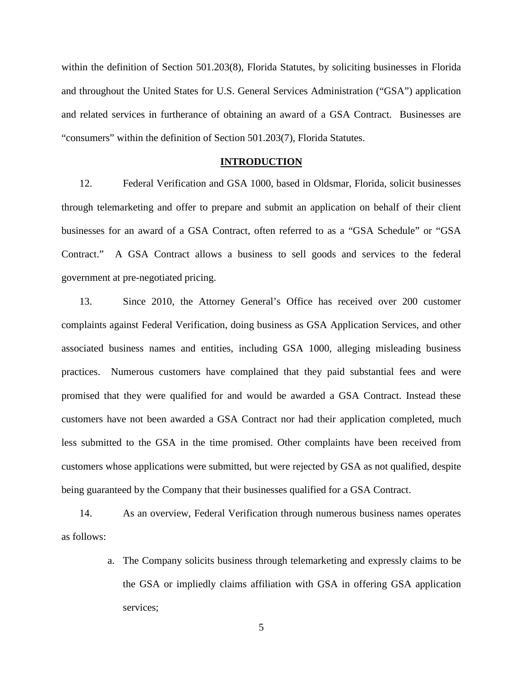within the definition of Section 501.203(8), Florida Statutes, by soliciting businesses in Florida and throughout the United States for U.S. General Services Administration ("GSA") application and related services in furtherance of obtaining an award of a GSA Contract. Businesses are "consumers" within the definition of Section 501.203(7), Florida Statutes.

#### **INTRODUCTION**

12. Federal Verification and GSA 1000, based in Oldsmar, Florida, solicit businesses through telemarketing and offer to prepare and submit an application on behalf of their client businesses for an award of a GSA Contract, often referred to as a "GSA Schedule" or "GSA Contract." A GSA Contract allows a business to sell goods and services to the federal government at pre-negotiated pricing.

13. Since 2010, the Attorney General's Office has received over 200 customer complaints against Federal Verification, doing business as GSA Application Services, and other associated business names and entities, including GSA 1000, alleging misleading business practices. Numerous customers have complained that they paid substantial fees and were promised that they were qualified for and would be awarded a GSA Contract. Instead these customers have not been awarded a GSA Contract nor had their application completed, much less submitted to the GSA in the time promised. Other complaints have been received from customers whose applications were submitted, but were rejected by GSA as not qualified, despite being guaranteed by the Company that their businesses qualified for a GSA Contract.

14. As an overview, Federal Verification through numerous business names operates as follows:

> a. The Company solicits business through telemarketing and expressly claims to be the GSA or impliedly claims affiliation with GSA in offering GSA application services;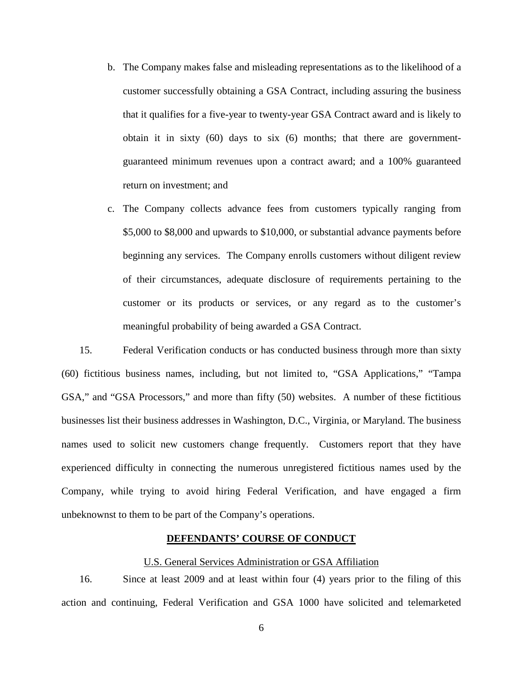- b. The Company makes false and misleading representations as to the likelihood of a customer successfully obtaining a GSA Contract, including assuring the business that it qualifies for a five-year to twenty-year GSA Contract award and is likely to obtain it in sixty (60) days to six (6) months; that there are governmentguaranteed minimum revenues upon a contract award; and a 100% guaranteed return on investment; and
- c. The Company collects advance fees from customers typically ranging from \$5,000 to \$8,000 and upwards to \$10,000, or substantial advance payments before beginning any services. The Company enrolls customers without diligent review of their circumstances, adequate disclosure of requirements pertaining to the customer or its products or services, or any regard as to the customer's meaningful probability of being awarded a GSA Contract.

15. Federal Verification conducts or has conducted business through more than sixty (60) fictitious business names, including, but not limited to, "GSA Applications," "Tampa GSA," and "GSA Processors," and more than fifty (50) websites. A number of these fictitious businesses list their business addresses in Washington, D.C., Virginia, or Maryland. The business names used to solicit new customers change frequently. Customers report that they have experienced difficulty in connecting the numerous unregistered fictitious names used by the Company, while trying to avoid hiring Federal Verification, and have engaged a firm unbeknownst to them to be part of the Company's operations.

### **DEFENDANTS' COURSE OF CONDUCT**

### U.S. General Services Administration or GSA Affiliation

16. Since at least 2009 and at least within four (4) years prior to the filing of this action and continuing, Federal Verification and GSA 1000 have solicited and telemarketed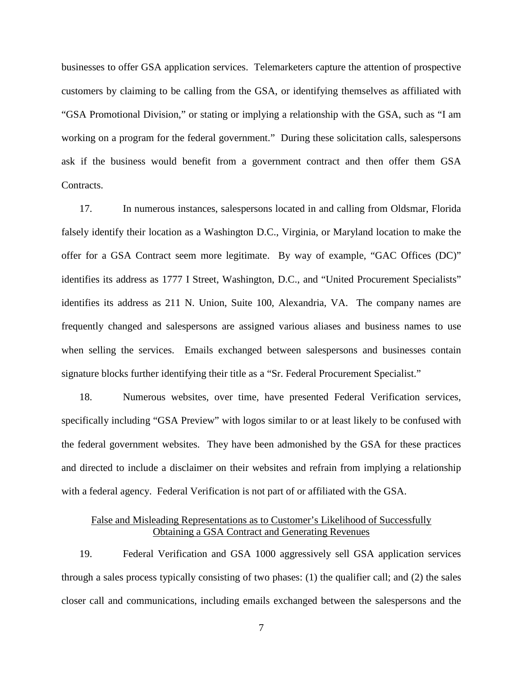businesses to offer GSA application services. Telemarketers capture the attention of prospective customers by claiming to be calling from the GSA, or identifying themselves as affiliated with "GSA Promotional Division," or stating or implying a relationship with the GSA, such as "I am working on a program for the federal government." During these solicitation calls, salespersons ask if the business would benefit from a government contract and then offer them GSA Contracts.

17. In numerous instances, salespersons located in and calling from Oldsmar, Florida falsely identify their location as a Washington D.C., Virginia, or Maryland location to make the offer for a GSA Contract seem more legitimate. By way of example, "GAC Offices (DC)" identifies its address as 1777 I Street, Washington, D.C., and "United Procurement Specialists" identifies its address as 211 N. Union, Suite 100, Alexandria, VA. The company names are frequently changed and salespersons are assigned various aliases and business names to use when selling the services. Emails exchanged between salespersons and businesses contain signature blocks further identifying their title as a "Sr. Federal Procurement Specialist."

18. Numerous websites, over time, have presented Federal Verification services, specifically including "GSA Preview" with logos similar to or at least likely to be confused with the federal government websites. They have been admonished by the GSA for these practices and directed to include a disclaimer on their websites and refrain from implying a relationship with a federal agency. Federal Verification is not part of or affiliated with the GSA.

### False and Misleading Representations as to Customer's Likelihood of Successfully Obtaining a GSA Contract and Generating Revenues

19. Federal Verification and GSA 1000 aggressively sell GSA application services through a sales process typically consisting of two phases: (1) the qualifier call; and (2) the sales closer call and communications, including emails exchanged between the salespersons and the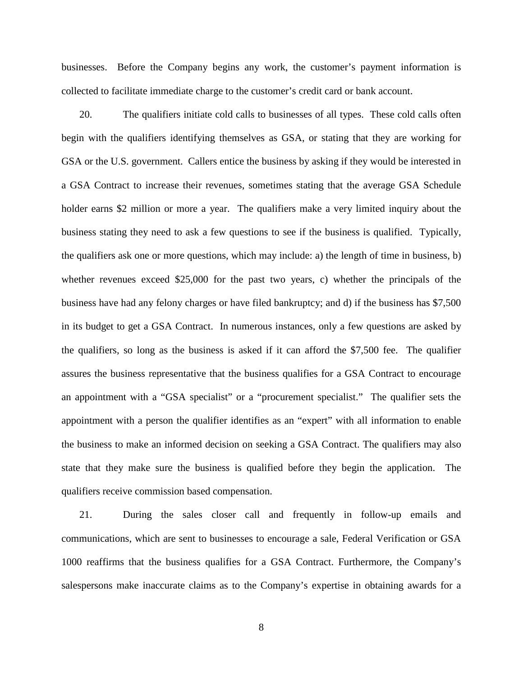businesses. Before the Company begins any work, the customer's payment information is collected to facilitate immediate charge to the customer's credit card or bank account.

20. The qualifiers initiate cold calls to businesses of all types. These cold calls often begin with the qualifiers identifying themselves as GSA, or stating that they are working for GSA or the U.S. government. Callers entice the business by asking if they would be interested in a GSA Contract to increase their revenues, sometimes stating that the average GSA Schedule holder earns \$2 million or more a year. The qualifiers make a very limited inquiry about the business stating they need to ask a few questions to see if the business is qualified. Typically, the qualifiers ask one or more questions, which may include: a) the length of time in business, b) whether revenues exceed \$25,000 for the past two years, c) whether the principals of the business have had any felony charges or have filed bankruptcy; and d) if the business has \$7,500 in its budget to get a GSA Contract. In numerous instances, only a few questions are asked by the qualifiers, so long as the business is asked if it can afford the \$7,500 fee. The qualifier assures the business representative that the business qualifies for a GSA Contract to encourage an appointment with a "GSA specialist" or a "procurement specialist." The qualifier sets the appointment with a person the qualifier identifies as an "expert" with all information to enable the business to make an informed decision on seeking a GSA Contract. The qualifiers may also state that they make sure the business is qualified before they begin the application. The qualifiers receive commission based compensation.

21. During the sales closer call and frequently in follow-up emails and communications, which are sent to businesses to encourage a sale, Federal Verification or GSA 1000 reaffirms that the business qualifies for a GSA Contract. Furthermore, the Company's salespersons make inaccurate claims as to the Company's expertise in obtaining awards for a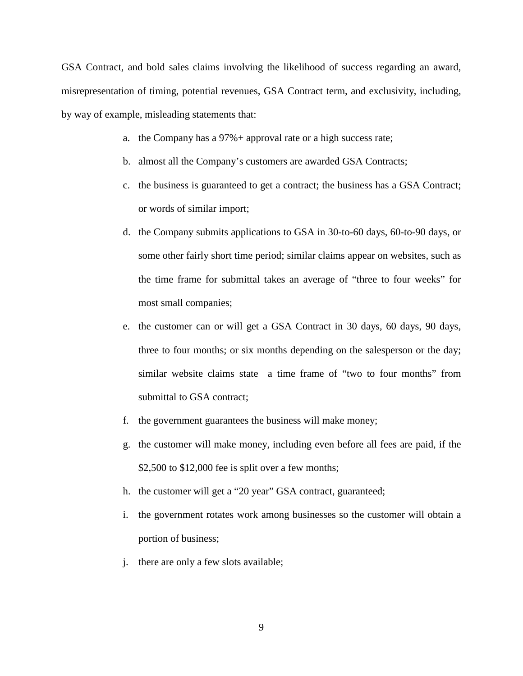GSA Contract, and bold sales claims involving the likelihood of success regarding an award, misrepresentation of timing, potential revenues, GSA Contract term, and exclusivity, including, by way of example, misleading statements that:

- a. the Company has a 97%+ approval rate or a high success rate;
- b. almost all the Company's customers are awarded GSA Contracts;
- c. the business is guaranteed to get a contract; the business has a GSA Contract; or words of similar import;
- d. the Company submits applications to GSA in 30-to-60 days, 60-to-90 days, or some other fairly short time period; similar claims appear on websites, such as the time frame for submittal takes an average of "three to four weeks" for most small companies;
- e. the customer can or will get a GSA Contract in 30 days, 60 days, 90 days, three to four months; or six months depending on the salesperson or the day; similar website claims state a time frame of "two to four months" from submittal to GSA contract;
- f. the government guarantees the business will make money;
- g. the customer will make money, including even before all fees are paid, if the \$2,500 to \$12,000 fee is split over a few months;
- h. the customer will get a "20 year" GSA contract, guaranteed;
- i. the government rotates work among businesses so the customer will obtain a portion of business;
- j. there are only a few slots available;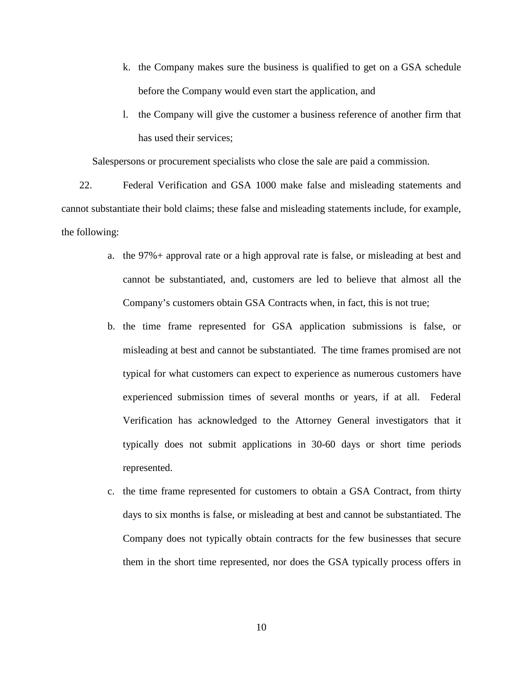- k. the Company makes sure the business is qualified to get on a GSA schedule before the Company would even start the application, and
- l. the Company will give the customer a business reference of another firm that has used their services;

Salespersons or procurement specialists who close the sale are paid a commission.

22. Federal Verification and GSA 1000 make false and misleading statements and cannot substantiate their bold claims; these false and misleading statements include, for example, the following:

- a. the 97%+ approval rate or a high approval rate is false, or misleading at best and cannot be substantiated, and, customers are led to believe that almost all the Company's customers obtain GSA Contracts when, in fact, this is not true;
- b. the time frame represented for GSA application submissions is false, or misleading at best and cannot be substantiated. The time frames promised are not typical for what customers can expect to experience as numerous customers have experienced submission times of several months or years, if at all. Federal Verification has acknowledged to the Attorney General investigators that it typically does not submit applications in 30-60 days or short time periods represented.
- c. the time frame represented for customers to obtain a GSA Contract, from thirty days to six months is false, or misleading at best and cannot be substantiated. The Company does not typically obtain contracts for the few businesses that secure them in the short time represented, nor does the GSA typically process offers in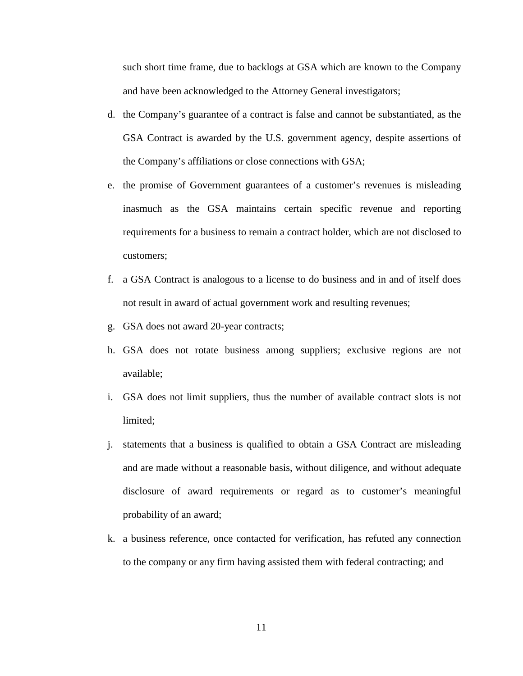such short time frame, due to backlogs at GSA which are known to the Company and have been acknowledged to the Attorney General investigators;

- d. the Company's guarantee of a contract is false and cannot be substantiated, as the GSA Contract is awarded by the U.S. government agency, despite assertions of the Company's affiliations or close connections with GSA;
- e. the promise of Government guarantees of a customer's revenues is misleading inasmuch as the GSA maintains certain specific revenue and reporting requirements for a business to remain a contract holder, which are not disclosed to customers;
- f. a GSA Contract is analogous to a license to do business and in and of itself does not result in award of actual government work and resulting revenues;
- g. GSA does not award 20-year contracts;
- h. GSA does not rotate business among suppliers; exclusive regions are not available;
- i. GSA does not limit suppliers, thus the number of available contract slots is not limited;
- j. statements that a business is qualified to obtain a GSA Contract are misleading and are made without a reasonable basis, without diligence, and without adequate disclosure of award requirements or regard as to customer's meaningful probability of an award;
- k. a business reference, once contacted for verification, has refuted any connection to the company or any firm having assisted them with federal contracting; and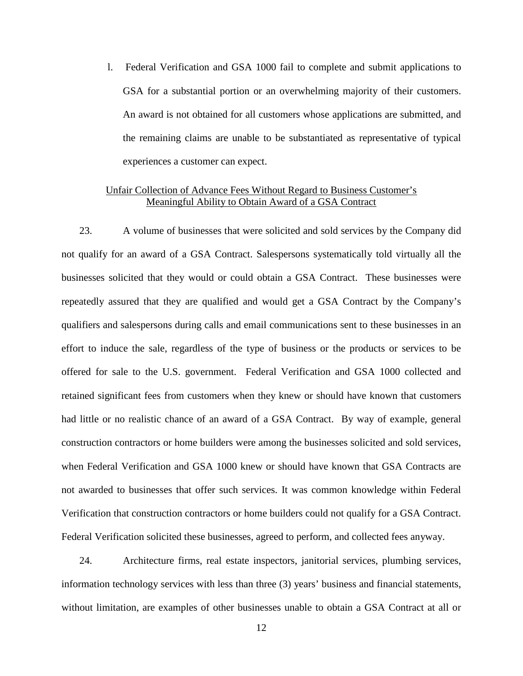l. Federal Verification and GSA 1000 fail to complete and submit applications to GSA for a substantial portion or an overwhelming majority of their customers. An award is not obtained for all customers whose applications are submitted, and the remaining claims are unable to be substantiated as representative of typical experiences a customer can expect.

## Unfair Collection of Advance Fees Without Regard to Business Customer's Meaningful Ability to Obtain Award of a GSA Contract

23. A volume of businesses that were solicited and sold services by the Company did not qualify for an award of a GSA Contract. Salespersons systematically told virtually all the businesses solicited that they would or could obtain a GSA Contract. These businesses were repeatedly assured that they are qualified and would get a GSA Contract by the Company's qualifiers and salespersons during calls and email communications sent to these businesses in an effort to induce the sale, regardless of the type of business or the products or services to be offered for sale to the U.S. government. Federal Verification and GSA 1000 collected and retained significant fees from customers when they knew or should have known that customers had little or no realistic chance of an award of a GSA Contract. By way of example, general construction contractors or home builders were among the businesses solicited and sold services, when Federal Verification and GSA 1000 knew or should have known that GSA Contracts are not awarded to businesses that offer such services. It was common knowledge within Federal Verification that construction contractors or home builders could not qualify for a GSA Contract. Federal Verification solicited these businesses, agreed to perform, and collected fees anyway.

24. Architecture firms, real estate inspectors, janitorial services, plumbing services, information technology services with less than three (3) years' business and financial statements, without limitation, are examples of other businesses unable to obtain a GSA Contract at all or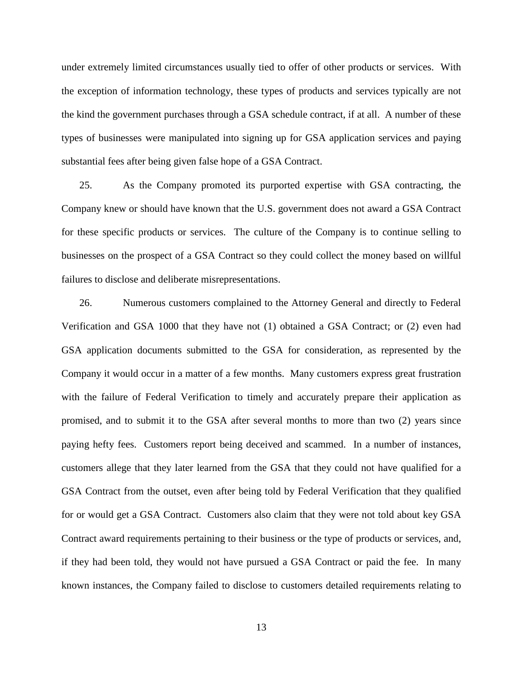under extremely limited circumstances usually tied to offer of other products or services. With the exception of information technology, these types of products and services typically are not the kind the government purchases through a GSA schedule contract, if at all. A number of these types of businesses were manipulated into signing up for GSA application services and paying substantial fees after being given false hope of a GSA Contract.

25. As the Company promoted its purported expertise with GSA contracting, the Company knew or should have known that the U.S. government does not award a GSA Contract for these specific products or services. The culture of the Company is to continue selling to businesses on the prospect of a GSA Contract so they could collect the money based on willful failures to disclose and deliberate misrepresentations.

26. Numerous customers complained to the Attorney General and directly to Federal Verification and GSA 1000 that they have not (1) obtained a GSA Contract; or (2) even had GSA application documents submitted to the GSA for consideration, as represented by the Company it would occur in a matter of a few months. Many customers express great frustration with the failure of Federal Verification to timely and accurately prepare their application as promised, and to submit it to the GSA after several months to more than two (2) years since paying hefty fees. Customers report being deceived and scammed. In a number of instances, customers allege that they later learned from the GSA that they could not have qualified for a GSA Contract from the outset, even after being told by Federal Verification that they qualified for or would get a GSA Contract. Customers also claim that they were not told about key GSA Contract award requirements pertaining to their business or the type of products or services, and, if they had been told, they would not have pursued a GSA Contract or paid the fee. In many known instances, the Company failed to disclose to customers detailed requirements relating to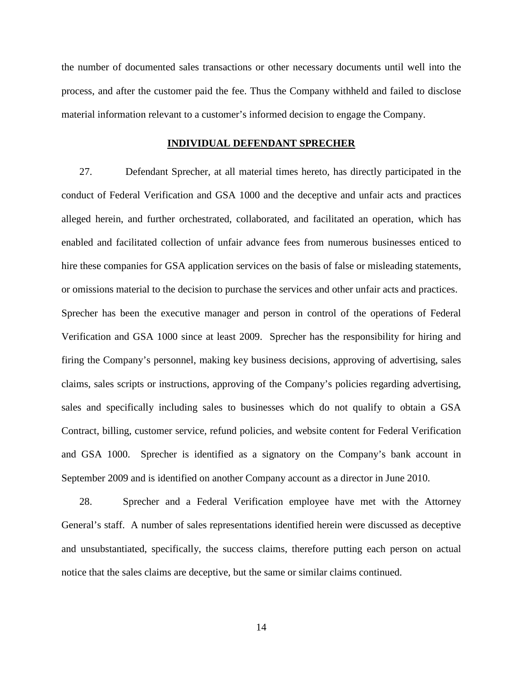the number of documented sales transactions or other necessary documents until well into the process, and after the customer paid the fee. Thus the Company withheld and failed to disclose material information relevant to a customer's informed decision to engage the Company.

### **INDIVIDUAL DEFENDANT SPRECHER**

27. Defendant Sprecher, at all material times hereto, has directly participated in the conduct of Federal Verification and GSA 1000 and the deceptive and unfair acts and practices alleged herein, and further orchestrated, collaborated, and facilitated an operation, which has enabled and facilitated collection of unfair advance fees from numerous businesses enticed to hire these companies for GSA application services on the basis of false or misleading statements, or omissions material to the decision to purchase the services and other unfair acts and practices. Sprecher has been the executive manager and person in control of the operations of Federal Verification and GSA 1000 since at least 2009. Sprecher has the responsibility for hiring and firing the Company's personnel, making key business decisions, approving of advertising, sales claims, sales scripts or instructions, approving of the Company's policies regarding advertising, sales and specifically including sales to businesses which do not qualify to obtain a GSA Contract, billing, customer service, refund policies, and website content for Federal Verification and GSA 1000. Sprecher is identified as a signatory on the Company's bank account in September 2009 and is identified on another Company account as a director in June 2010.

28. Sprecher and a Federal Verification employee have met with the Attorney General's staff. A number of sales representations identified herein were discussed as deceptive and unsubstantiated, specifically, the success claims, therefore putting each person on actual notice that the sales claims are deceptive, but the same or similar claims continued.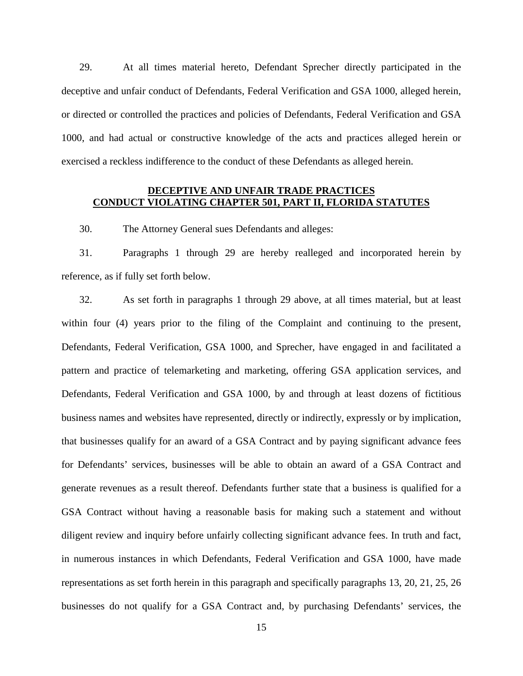29. At all times material hereto, Defendant Sprecher directly participated in the deceptive and unfair conduct of Defendants, Federal Verification and GSA 1000, alleged herein, or directed or controlled the practices and policies of Defendants, Federal Verification and GSA 1000, and had actual or constructive knowledge of the acts and practices alleged herein or exercised a reckless indifference to the conduct of these Defendants as alleged herein.

### **DECEPTIVE AND UNFAIR TRADE PRACTICES CONDUCT VIOLATING CHAPTER 501, PART II, FLORIDA STATUTES**

30. The Attorney General sues Defendants and alleges:

31. Paragraphs 1 through 29 are hereby realleged and incorporated herein by reference, as if fully set forth below.

32. As set forth in paragraphs 1 through 29 above, at all times material, but at least within four (4) years prior to the filing of the Complaint and continuing to the present, Defendants, Federal Verification, GSA 1000, and Sprecher, have engaged in and facilitated a pattern and practice of telemarketing and marketing, offering GSA application services, and Defendants, Federal Verification and GSA 1000, by and through at least dozens of fictitious business names and websites have represented, directly or indirectly, expressly or by implication, that businesses qualify for an award of a GSA Contract and by paying significant advance fees for Defendants' services, businesses will be able to obtain an award of a GSA Contract and generate revenues as a result thereof. Defendants further state that a business is qualified for a GSA Contract without having a reasonable basis for making such a statement and without diligent review and inquiry before unfairly collecting significant advance fees. In truth and fact, in numerous instances in which Defendants, Federal Verification and GSA 1000, have made representations as set forth herein in this paragraph and specifically paragraphs 13, 20, 21, 25, 26 businesses do not qualify for a GSA Contract and, by purchasing Defendants' services, the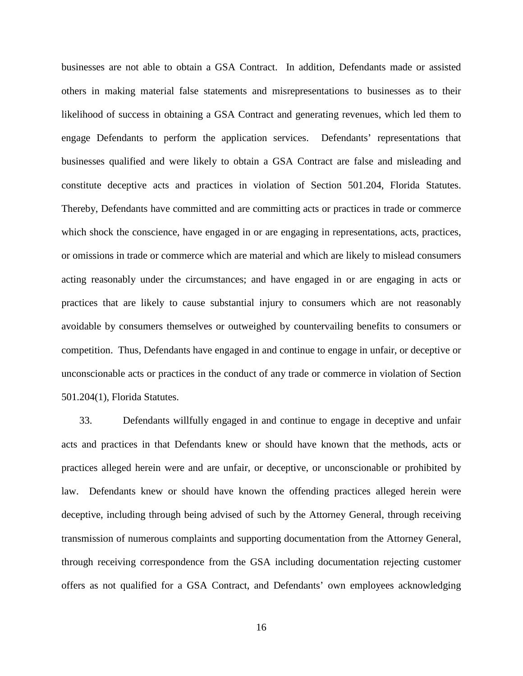businesses are not able to obtain a GSA Contract. In addition, Defendants made or assisted others in making material false statements and misrepresentations to businesses as to their likelihood of success in obtaining a GSA Contract and generating revenues, which led them to engage Defendants to perform the application services. Defendants' representations that businesses qualified and were likely to obtain a GSA Contract are false and misleading and constitute deceptive acts and practices in violation of Section 501.204, Florida Statutes. Thereby, Defendants have committed and are committing acts or practices in trade or commerce which shock the conscience, have engaged in or are engaging in representations, acts, practices, or omissions in trade or commerce which are material and which are likely to mislead consumers acting reasonably under the circumstances; and have engaged in or are engaging in acts or practices that are likely to cause substantial injury to consumers which are not reasonably avoidable by consumers themselves or outweighed by countervailing benefits to consumers or competition. Thus, Defendants have engaged in and continue to engage in unfair, or deceptive or unconscionable acts or practices in the conduct of any trade or commerce in violation of Section 501.204(1), Florida Statutes.

33. Defendants willfully engaged in and continue to engage in deceptive and unfair acts and practices in that Defendants knew or should have known that the methods, acts or practices alleged herein were and are unfair, or deceptive, or unconscionable or prohibited by law. Defendants knew or should have known the offending practices alleged herein were deceptive, including through being advised of such by the Attorney General, through receiving transmission of numerous complaints and supporting documentation from the Attorney General, through receiving correspondence from the GSA including documentation rejecting customer offers as not qualified for a GSA Contract, and Defendants' own employees acknowledging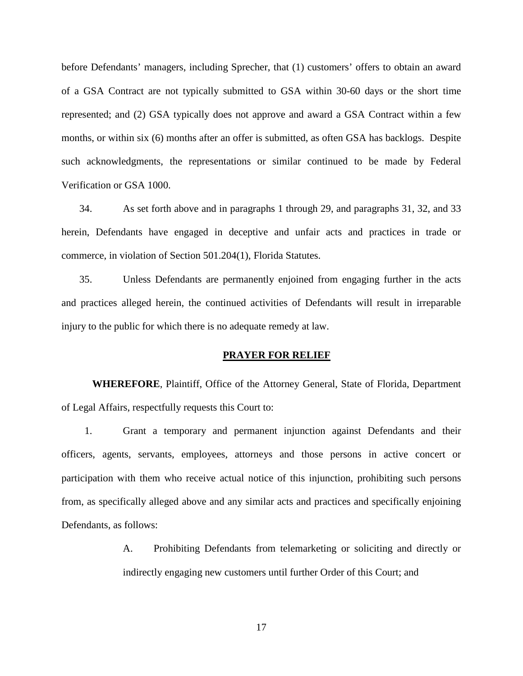before Defendants' managers, including Sprecher, that (1) customers' offers to obtain an award of a GSA Contract are not typically submitted to GSA within 30-60 days or the short time represented; and (2) GSA typically does not approve and award a GSA Contract within a few months, or within six (6) months after an offer is submitted, as often GSA has backlogs. Despite such acknowledgments, the representations or similar continued to be made by Federal Verification or GSA 1000.

34. As set forth above and in paragraphs 1 through 29, and paragraphs 31, 32, and 33 herein, Defendants have engaged in deceptive and unfair acts and practices in trade or commerce, in violation of Section 501.204(1), Florida Statutes.

35. Unless Defendants are permanently enjoined from engaging further in the acts and practices alleged herein, the continued activities of Defendants will result in irreparable injury to the public for which there is no adequate remedy at law.

#### **PRAYER FOR RELIEF**

**WHEREFORE**, Plaintiff, Office of the Attorney General, State of Florida, Department of Legal Affairs, respectfully requests this Court to:

1. Grant a temporary and permanent injunction against Defendants and their officers, agents, servants, employees, attorneys and those persons in active concert or participation with them who receive actual notice of this injunction, prohibiting such persons from, as specifically alleged above and any similar acts and practices and specifically enjoining Defendants, as follows:

> A. Prohibiting Defendants from telemarketing or soliciting and directly or indirectly engaging new customers until further Order of this Court; and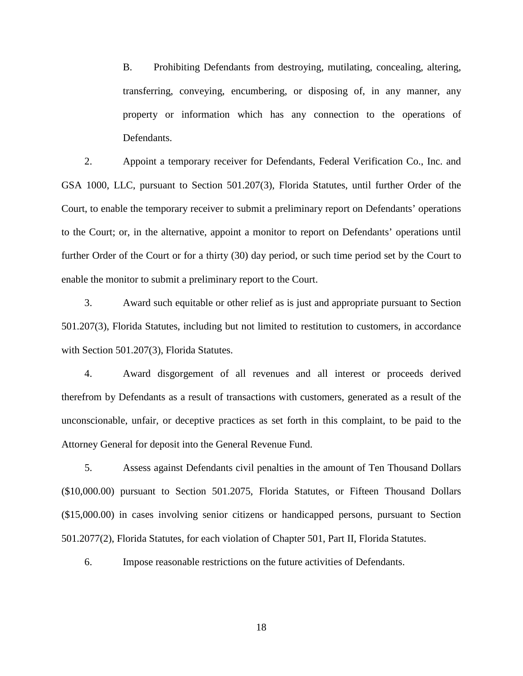B. Prohibiting Defendants from destroying, mutilating, concealing, altering, transferring, conveying, encumbering, or disposing of, in any manner, any property or information which has any connection to the operations of Defendants.

2. Appoint a temporary receiver for Defendants, Federal Verification Co., Inc. and GSA 1000, LLC, pursuant to Section 501.207(3), Florida Statutes, until further Order of the Court, to enable the temporary receiver to submit a preliminary report on Defendants' operations to the Court; or, in the alternative, appoint a monitor to report on Defendants' operations until further Order of the Court or for a thirty (30) day period, or such time period set by the Court to enable the monitor to submit a preliminary report to the Court.

3. Award such equitable or other relief as is just and appropriate pursuant to Section 501.207(3), Florida Statutes, including but not limited to restitution to customers, in accordance with Section 501.207(3), Florida Statutes.

4. Award disgorgement of all revenues and all interest or proceeds derived therefrom by Defendants as a result of transactions with customers, generated as a result of the unconscionable, unfair, or deceptive practices as set forth in this complaint, to be paid to the Attorney General for deposit into the General Revenue Fund.

5. Assess against Defendants civil penalties in the amount of Ten Thousand Dollars (\$10,000.00) pursuant to Section 501.2075, Florida Statutes, or Fifteen Thousand Dollars (\$15,000.00) in cases involving senior citizens or handicapped persons, pursuant to Section 501.2077(2), Florida Statutes, for each violation of Chapter 501, Part II, Florida Statutes.

6. Impose reasonable restrictions on the future activities of Defendants.